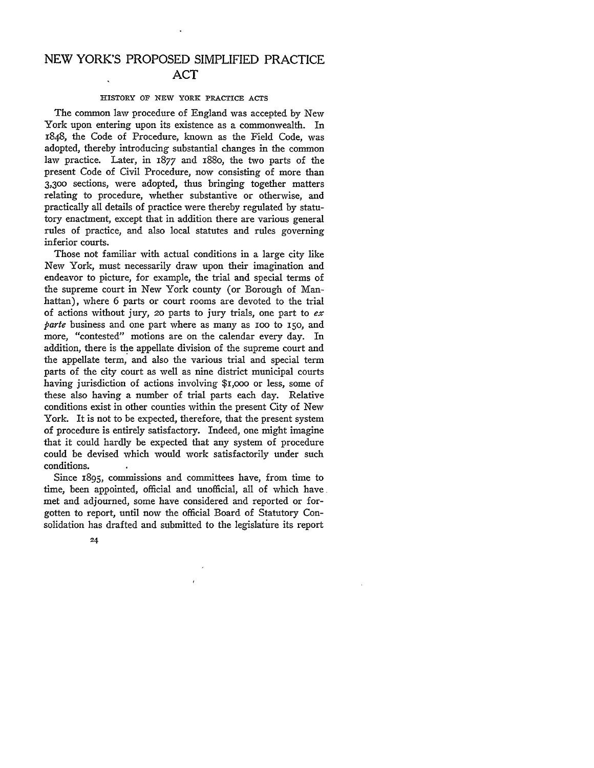# **NEW** YORK'S PROPOSED SIMPLIFIED PRACTICE ACT

### **HISTORY OF NEW** YORK PRACTICE **ACTS**

The common law procedure of England was accepted by New York upon entering upon its existence as a commonwealth. In 1848, the Code of Procedure, known as the Field Code, was adopted, thereby introducing substantial changes in the common law practice. Later, in 1877 and i88o, the two parts of the present Code of Civil Procedure, now consisting of more than **3,300** sections, were adopted, thus bringing together matters relating to procedure, whether substantive or otherwise, and practically all details of practice were thereby regulated by statutory enactment, except that in addition there are various general rules of practice, and also local statutes and rules governing inferior courts.

Those not familiar with actual conditions in a large city like New York, must necessarily draw upon their imagination and endeavor to picture, for example, the trial and special terms of the supreme court in New York county (or Borough of Manhattan), where 6 parts or court rooms are devoted to the trial of actions without jury, **2o** parts to jury trials, one part to *ex parte* business and one part where as many as IOO to **15o,** and more, "contested" motions are on the calendar every day. In addition, there is the appellate division of the supreme court and the appellate term, and also the various trial and special term parts of the city court as well as nine district municipal courts having jurisdiction of actions involving \$1,000 or less, some of these also having a number of trial parts each day. Relative conditions exist in other counties within the present City of New York. It is not to be expected, therefore, that the present system of procedure is entirely satisfactory. Indeed, one might imagine that it could hardly be expected that any system of procedure could be devised which would work satisfactorily under such conditions.

Since 1895, commissions and committees have, from time to time, been appointed, official and unofficial, all of which have met and adjourned, some have considered and reported or forgotten to report, until now the official Board of Statutory Consolidation has drafted and submitted to the legislature its report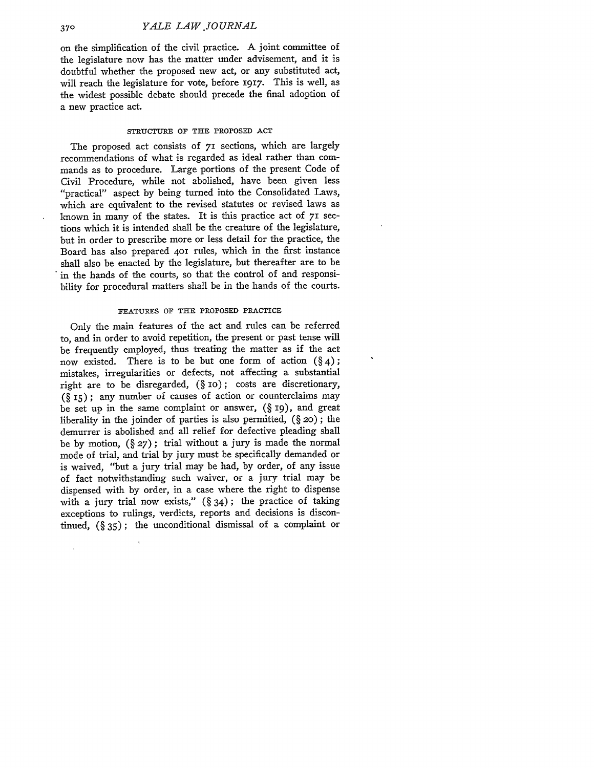on the simplification of the civil practice. A joint committee of the legislature now has the matter under advisement, and it is doubtful whether the proposed new act, or any substituted act, will reach the legislature for vote, before 1917. This is well, as the widest possible debate should precede the final adoption of a new practice act.

### **STRUCTURE OF THE** PROPOSED **ACT**

The proposed act consists of 71 sections, which are largely recommendations of what is regarded as ideal rather than commands as to procedure. Large portions of the present Code of Civil Procedure, while not abolished, have been given less "practical" aspect **by** being turned into the Consolidated Laws, which are equivalent to the revised statutes or revised laws as known in many of the states. It is this practice act of 71 sections which it is intended shall be the creature of the legislature, but in order to prescribe more or less detail for the practice, the Board has also prepared 401 rules, which in the first instance shall also be enacted **by** the legislature, but thereafter are to be in the hands of the courts, so that the control of and responsibility for procedural matters shall be in the hands of the courts.

### **FEATURES** OF **THE** PROPOSED PRACTICE

Only the main features of the act and rules can be referred to, and in order to avoid repetition, the present or past tense will be frequently employed, thus treating the matter as if the act now existed. There is to be but one form of action **(§** 4); mistakes, irregularities or defects, not affecting a substantial right are to be disregarded, **(§** io); costs are discretionary, **(§** 15) **;** any number of causes of action or counterclaims may be set up in the same complaint or answer, **(§ 19),** and great liberality in the joinder of parties is also permitted, **(§** *20)* ; the demurrer is abolished and all relief for defective pleading shall be **by** motion, **(§** *27)* **;** trial without a jury is made the normal mode of trial, and trial **by** jury must be specifically demanded or is waived, "but a jury trial may be had, **by** order, of any issue of fact notwithstanding such waiver, or a jury trial may be dispensed with by order, in a case where the right to dispense with a jury trial now exists," **(§** 34); the practice of taking exceptions to rulings, verdicts, reports and decisions is discontinued, **(§** 35); the unconditional dismissal of a complaint or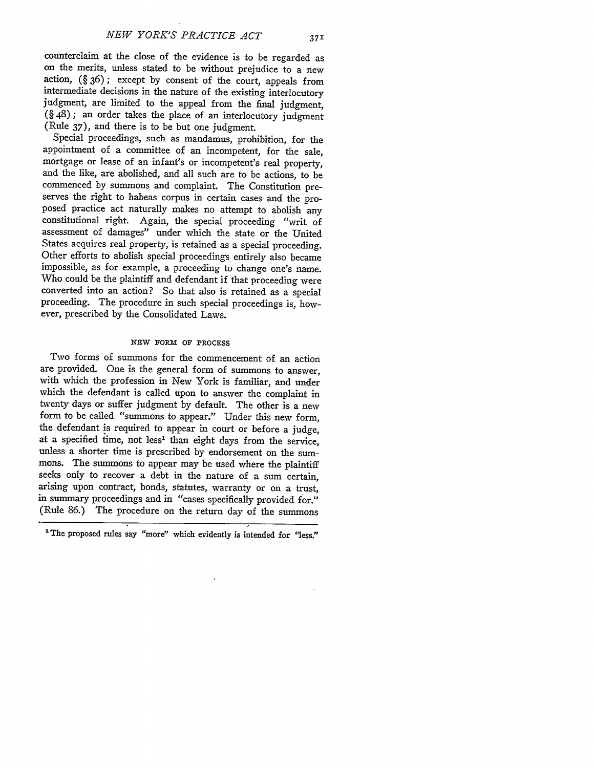counterclaim at the close of the evidence is to be regarded as on the merits, unless stated to be without prejudice to a new action,  $(\S 36)$ ; except by consent of the court, appeals from intermediate decisions in the nature of the existing interlocutory judgment, are limited to the appeal from the final judgment, (§48); an order takes the place of an interlocutory judgment (Rule 37), and there is to be but one judgment.

Special proceedings, such as mandamus, prohibition, for the appointment of a committee of an incompetent, for the sale, mortgage or lease of an infant's or incompetent's real property, and the like, are abolished, and all such are to be actions, to be commenced by summons and complaint. The Constitution pre-<br>serves the right to habeas corpus in certain cases and the proposed practice act naturally makes no attempt to abolish any constitutional right. Again, the special proceeding "writ of assessment of damages" under which the state or the United States acquires real property, is retained as a special proceeding. Other efforts to abolish special proceedings entirely also became impossible, as for example, a proceeding to change one's name. Who could be the plaintiff and defendant if that proceeding were converted into an action? So that also is retained as a special proceeding. The procedure in such special proceedings is, however, prescribed by the Consolidated Laws.

#### **NEW** FORM OF **PROCESS**

Two forms of summons for the commencement of an action are provided. One is the general form of summons to answer, with which the profession in New York is familiar, and under which the defendant is called upon to answer the complaint in twenty days or suffer judgment by default. The other is a new form to be called "summons to appear." Under this new form, the defendant is required to appear in court or before a judge, at a specified time, not less<sup>1</sup> than eight days from the service. unless a shorter time is prescribed by endorsement on the summons. The summons to appear may be used where the plaintiff seeks only to recover a debt in the nature of a sum certain, arising upon contract, bonds, statutes, warranty or on a trust, in summary proceedings and in "cases specifically provided for." (Rule 86.) The procedure on the return day of the summons

<sup>&</sup>lt;sup>1</sup>The proposed rules say "more" which evidently is intended for "less."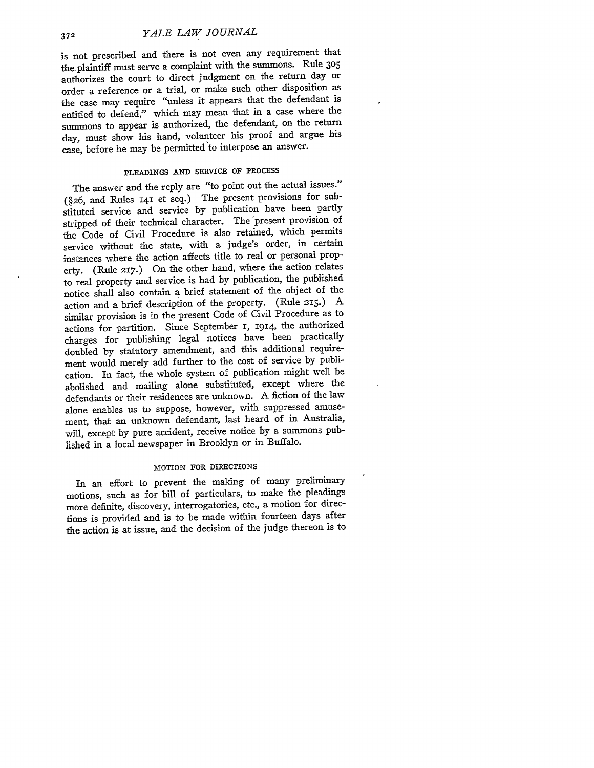is not prescribed and there is not even any requirement that the-plaintiff must serve a complaint with the summons. Rule **305** authorizes the court to direct judgment on the return day or order a reference or a trial, or make such other disposition as the case may require "unless it appears that the defendant is entitled to defend," which may mean that in a case where the summons to appear is authorized, the defendant, on the return day, must show his hand, volunteer his proof and argue his case, before he may be permitted to interpose an answer.

# **PLEADINGS AND SERVICE OF PROCESS**

The answer and the reply are "to point out the actual issues." (§26, and Rules **141** et seq.) The present provisions for substituted service and service by publication have been partly stripped of their technical character. The present provision of the Code of Civil Procedure is also retained, which permits service without the state, with a judge's order, in certain instances where the action affects title to real or personal property. (Rule **217.)** On the other hand, where the action relates to real property and service is had by publication, the published notice shall also contain a brief statement of the object of the action and a brief description of the property. (Rule **215.)** <sup>A</sup> similar provision is in the present Code of Civil Procedure as to actions for partition. Since September **I,** 1914, the authorized charges for publishing legal notices have been practically doubled by statutory amendment, and this additional requirement would merely add further to the cost of service by publication. In fact, the whole system of publication might well be abolished and mailing alone substituted, except where the defendants or their residences are unknown. **A** fiction of the law alone enables us to suppose, however, with suppressed amusement, that an unknown defendant, last heard of in Australia, will, except by pure accident, receive notice by a summons published in a local newspaper in Brooklyn or in Buffalo.

# **MOTION** FOR DIRECTIONS

In an effort to prevent the making of many preliminary motions, such as for bill of particulars, to make the pleadings more definite, discovery, interrogatories, etc., a motion for directions is provided and is to be made within fourteen days after the action is at issue, and the decision of the judge thereon is to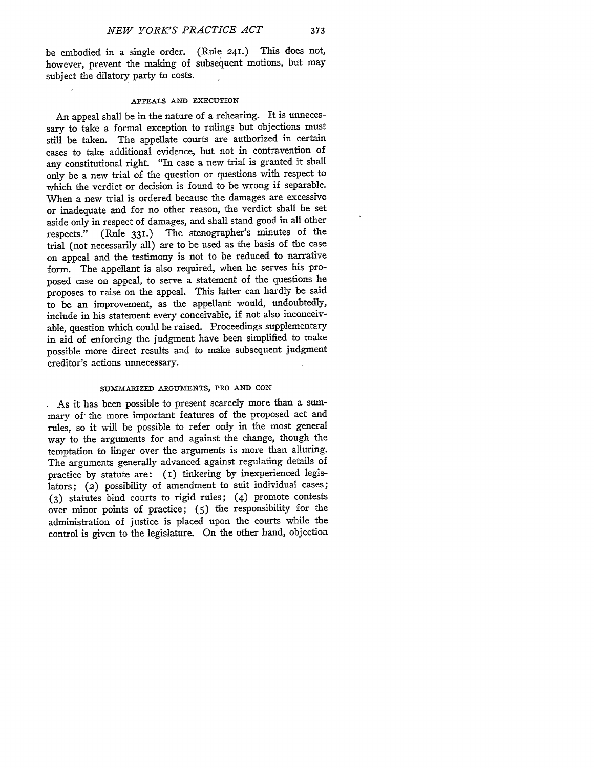be embodied in a single order. (Rule 241.) This does not, however, prevent the making of subsequent motions, but may subject the dilatory party to costs.

#### **APPEALS AND** EXECUTION

An appeal shall be in the nature of a rehearing. It is unnecessary to take a formal exception to rulings but objections must still be taken. The appellate courts are authorized in certain cases to take additional evidence, but not in contravention of any constitutional right. "In case a new trial is granted it shall only be a new trial of the question or questions with respect to which the verdict or decision is found to be wrong if separable. When a new trial is ordered because the damages are excessive or inadequate and for no other reason, the verdict shall be set aside only in respect of damages, and shall stand good in all other respects." (Rule  $33I$ .) The stenographer's minutes of the (Rule 331.) The stenographer's minutes of the trial (not necessarily all) are to be used as the basis of the case on appeal and the testimony is not to be reduced to narrative form. The appellant is also required, when he serves his proposed case on appeal, to serve a statement of the questions he proposes to raise on the appeal. This latter can hardly be said to be an improvement, as the appellant would, undoubtedly, include in his statement every conceivable, if not also inconceivable, question which could be raised. Proceedings supplementary in aid of enforcing the judgment have been simplified to make possible more direct results and to make subsequent judgment creditor's actions unnecessary.

# **SUMMARIZED ARGUMENTS, PRO AND CON**

As it has been possible to present scarcely more than a summary of the more important features of the proposed act and rules, so it will be possible to refer only in the most general way to the arguments for and against the change, though the temptation to linger over the arguments is more than alluring. The arguments generally advanced against regulating details of practice by statute are: **(I)** tinkering by inexperienced legislators; (2) possibility of amendment to suit individual cases; (3) statutes bind courts to rigid rules; (4) promote contests over minor points of practice; **(5)** the responsibility for the administration of justice -is placed upon the courts while the control is given to the legislature. On the other hand, objection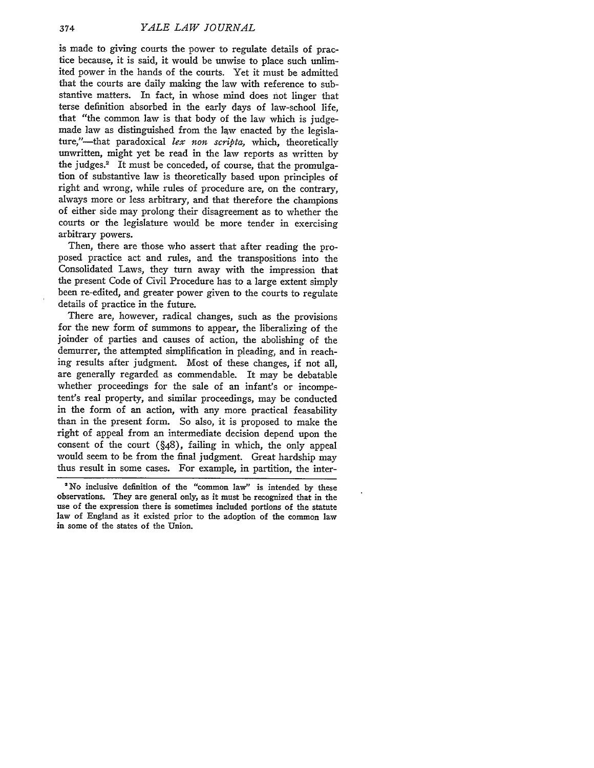is made to giving courts the power to regulate details of practice because, it is said, it would be unwise to place such unlimited power in the hands of the courts. Yet it must be admitted that the courts are daily making the law with reference to substantive matters. In fact, in whose mind does not linger that terse definition absorbed in the early days of law-school life, that "the common law is that body of the law which is judgemade law as distinguished from the law enacted by the legislature,"-that paradoxical *lex non scripta*, which, theoretically unwritten, might yet be read in the law reports as written by the judges.<sup>2</sup> It must be conceded, of course, that the promulgation of substantive law is theoretically based upon principles of right and wrong, while rules of procedure are, on the contrary, always more or less arbitrary, and that therefore the champions of either side may prolong their disagreement as to whether the courts or the legislature would be more tender in exercising arbitrary powers.

Then, there are those who assert that after reading the proposed practice act and rules, and the transpositions into the Consolidated Laws, they turn away with the impression that the present Code of Civil Procedure has to a large extent simply been re-edited, and greater power given to the courts to regulate details of practice in the future.

There are, however, radical changes, such as the provisions for the new form of summons to appear, the liberalizing of the joinder of parties and causes of action, the abolishing of the demurrer, the attempted simplification in pleading, and in reaching results after judgment. Most of these changes, if not all, are generally regarded as commendable. It may be debatable whether proceedings for the sale of an infant's or incompetent's real property, and similar proceedings, may be conducted in the form of an action, with any more practical feasability than in the present form. So also, it is proposed to make the right of appeal from an intermediate decision depend upon the consent of the court  $(\S 48)$ , failing in which, the only appeal would seem to be from the final judgment. Great hardship may thus result in some cases. For example, in partition, the inter-

'No inclusive definition of the "common law" is intended **by** these observations. They are general only, as it must be recognized that in the use of the expression there is sometimes included portions of the statute law **of** England as it existed prior to the adoption of the common law in some of the states of the Union.